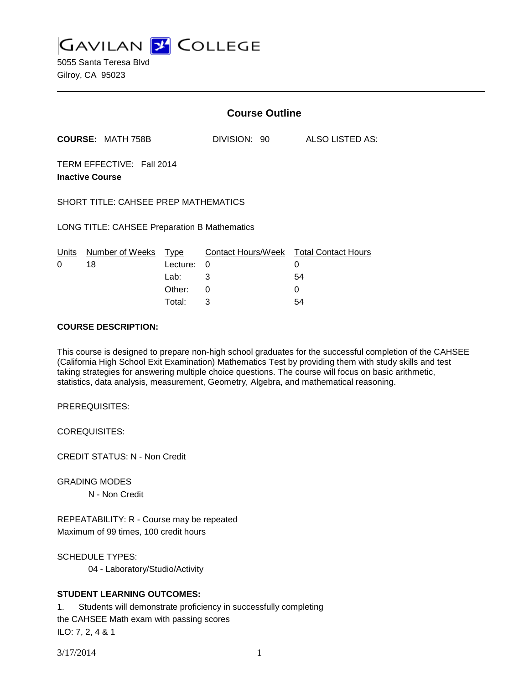**GAVILAN Z COLLEGE** 

5055 Santa Teresa Blvd Gilroy, CA 95023

|                                                     |                          | <b>Course Outline</b> |                                        |                 |
|-----------------------------------------------------|--------------------------|-----------------------|----------------------------------------|-----------------|
|                                                     | <b>COURSE: MATH 758B</b> |                       | DIVISION: 90                           | ALSO LISTED AS: |
| TERM EFFECTIVE: Fall 2014<br><b>Inactive Course</b> |                          |                       |                                        |                 |
| SHORT TITLE: CAHSEE PREP MATHEMATICS                |                          |                       |                                        |                 |
| LONG TITLE: CAHSEE Preparation B Mathematics        |                          |                       |                                        |                 |
| Units                                               | Number of Weeks          | Type                  | Contact Hours/Week Total Contact Hours |                 |
| 0                                                   | 18                       | Lecture:              | 0                                      | 0               |
|                                                     |                          | Lab:                  | 3                                      | 54              |
|                                                     |                          | Other:                | 0                                      | 0               |
|                                                     |                          | Total:                | 3                                      | 54              |

### **COURSE DESCRIPTION:**

This course is designed to prepare non-high school graduates for the successful completion of the CAHSEE (California High School Exit Examination) Mathematics Test by providing them with study skills and test taking strategies for answering multiple choice questions. The course will focus on basic arithmetic, statistics, data analysis, measurement, Geometry, Algebra, and mathematical reasoning.

PREREQUISITES:

COREQUISITES:

CREDIT STATUS: N - Non Credit

GRADING MODES

N - Non Credit

REPEATABILITY: R - Course may be repeated Maximum of 99 times, 100 credit hours

SCHEDULE TYPES:

04 - Laboratory/Studio/Activity

## **STUDENT LEARNING OUTCOMES:**

1. Students will demonstrate proficiency in successfully completing the CAHSEE Math exam with passing scores ILO: 7, 2, 4 & 1

3/17/2014 1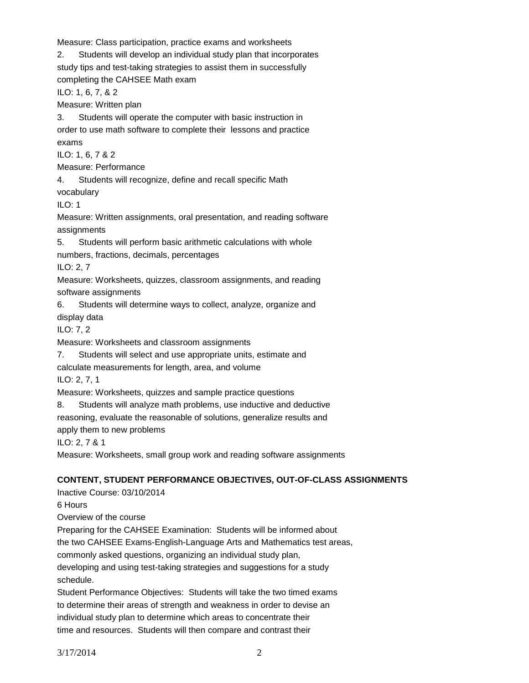Measure: Class participation, practice exams and worksheets

2. Students will develop an individual study plan that incorporates study tips and test-taking strategies to assist them in successfully

completing the CAHSEE Math exam

ILO: 1, 6, 7, & 2

Measure: Written plan

3. Students will operate the computer with basic instruction in order to use math software to complete their lessons and practice exams

ILO: 1, 6, 7 & 2

Measure: Performance

4. Students will recognize, define and recall specific Math vocabulary

ILO: 1

Measure: Written assignments, oral presentation, and reading software assignments

5. Students will perform basic arithmetic calculations with whole

numbers, fractions, decimals, percentages

ILO: 2, 7

Measure: Worksheets, quizzes, classroom assignments, and reading software assignments

6. Students will determine ways to collect, analyze, organize and display data

ILO: 7, 2

Measure: Worksheets and classroom assignments

7. Students will select and use appropriate units, estimate and

calculate measurements for length, area, and volume

ILO: 2, 7, 1

Measure: Worksheets, quizzes and sample practice questions

8. Students will analyze math problems, use inductive and deductive reasoning, evaluate the reasonable of solutions, generalize results and apply them to new problems

ILO: 2, 7 & 1

Measure: Worksheets, small group work and reading software assignments

# **CONTENT, STUDENT PERFORMANCE OBJECTIVES, OUT-OF-CLASS ASSIGNMENTS**

Inactive Course: 03/10/2014 6 Hours

Overview of the course

Preparing for the CAHSEE Examination: Students will be informed about

the two CAHSEE Exams-English-Language Arts and Mathematics test areas,

commonly asked questions, organizing an individual study plan,

developing and using test-taking strategies and suggestions for a study schedule.

Student Performance Objectives: Students will take the two timed exams to determine their areas of strength and weakness in order to devise an individual study plan to determine which areas to concentrate their time and resources. Students will then compare and contrast their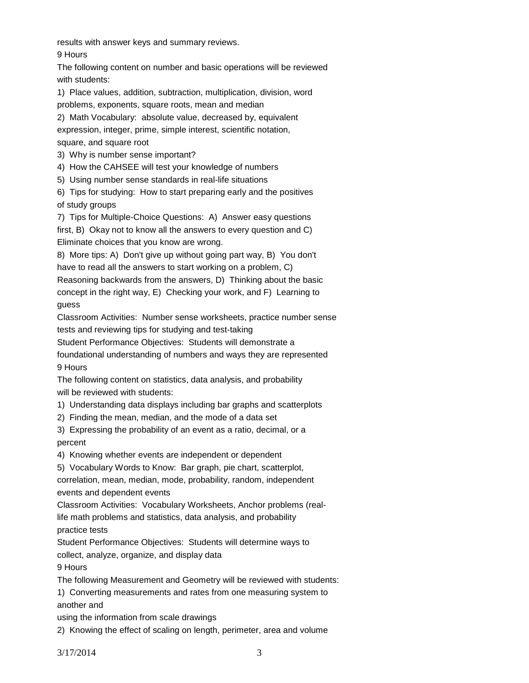results with answer keys and summary reviews.

9 Hours

The following content on number and basic operations will be reviewed with students:

1) Place values, addition, subtraction, multiplication, division, word

problems, exponents, square roots, mean and median

2) Math Vocabulary: absolute value, decreased by, equivalent expression, integer, prime, simple interest, scientific notation, square, and square root

3) Why is number sense important?

4) How the CAHSEE will test your knowledge of numbers

5) Using number sense standards in real-life situations

6) Tips for studying: How to start preparing early and the positives of study groups

7) Tips for Multiple-Choice Questions: A) Answer easy questions first, B) Okay not to know all the answers to every question and C) Eliminate choices that you know are wrong.

8) More tips: A) Don't give up without going part way, B) You don't have to read all the answers to start working on a problem, C)

Reasoning backwards from the answers, D) Thinking about the basic concept in the right way, E) Checking your work, and F) Learning to guess

Classroom Activities: Number sense worksheets, practice number sense tests and reviewing tips for studying and test-taking

Student Performance Objectives: Students will demonstrate a

foundational understanding of numbers and ways they are represented 9 Hours

The following content on statistics, data analysis, and probability will be reviewed with students:

1) Understanding data displays including bar graphs and scatterplots

- 2) Finding the mean, median, and the mode of a data set
- 3) Expressing the probability of an event as a ratio, decimal, or a percent

4) Knowing whether events are independent or dependent

5) Vocabulary Words to Know: Bar graph, pie chart, scatterplot,

correlation, mean, median, mode, probability, random, independent events and dependent events

Classroom Activities: Vocabulary Worksheets, Anchor problems (reallife math problems and statistics, data analysis, and probability practice tests

Student Performance Objectives: Students will determine ways to collect, analyze, organize, and display data

9 Hours

The following Measurement and Geometry will be reviewed with students:

1) Converting measurements and rates from one measuring system to another and

using the information from scale drawings

2) Knowing the effect of scaling on length, perimeter, area and volume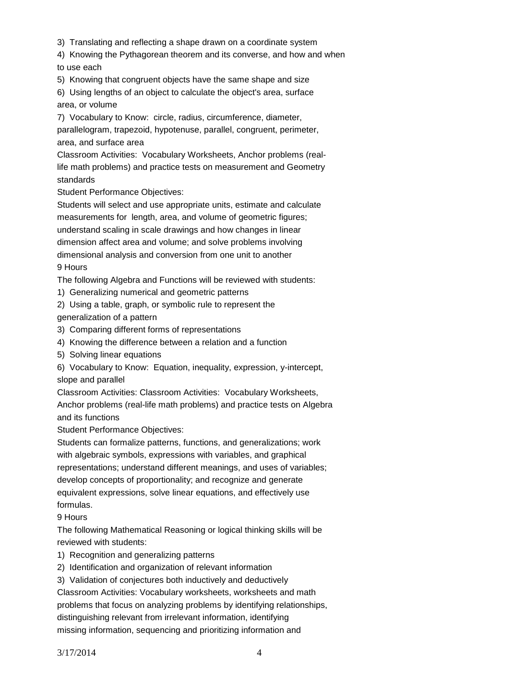- 3) Translating and reflecting a shape drawn on a coordinate system
- 4) Knowing the Pythagorean theorem and its converse, and how and when to use each
- 5) Knowing that congruent objects have the same shape and size
- 6) Using lengths of an object to calculate the object's area, surface area, or volume
- 7) Vocabulary to Know: circle, radius, circumference, diameter, parallelogram, trapezoid, hypotenuse, parallel, congruent, perimeter, area, and surface area
- Classroom Activities: Vocabulary Worksheets, Anchor problems (reallife math problems) and practice tests on measurement and Geometry standards

Student Performance Objectives:

Students will select and use appropriate units, estimate and calculate measurements for length, area, and volume of geometric figures; understand scaling in scale drawings and how changes in linear dimension affect area and volume; and solve problems involving dimensional analysis and conversion from one unit to another 9 Hours

The following Algebra and Functions will be reviewed with students:

- 1) Generalizing numerical and geometric patterns
- 2) Using a table, graph, or symbolic rule to represent the generalization of a pattern
- 3) Comparing different forms of representations
- 4) Knowing the difference between a relation and a function
- 5) Solving linear equations

6) Vocabulary to Know: Equation, inequality, expression, y-intercept, slope and parallel

Classroom Activities: Classroom Activities: Vocabulary Worksheets,

Anchor problems (real-life math problems) and practice tests on Algebra and its functions

Student Performance Objectives:

Students can formalize patterns, functions, and generalizations; work with algebraic symbols, expressions with variables, and graphical representations; understand different meanings, and uses of variables; develop concepts of proportionality; and recognize and generate equivalent expressions, solve linear equations, and effectively use formulas.

9 Hours

The following Mathematical Reasoning or logical thinking skills will be reviewed with students:

1) Recognition and generalizing patterns

- 2) Identification and organization of relevant information
- 3) Validation of conjectures both inductively and deductively

Classroom Activities: Vocabulary worksheets, worksheets and math problems that focus on analyzing problems by identifying relationships, distinguishing relevant from irrelevant information, identifying missing information, sequencing and prioritizing information and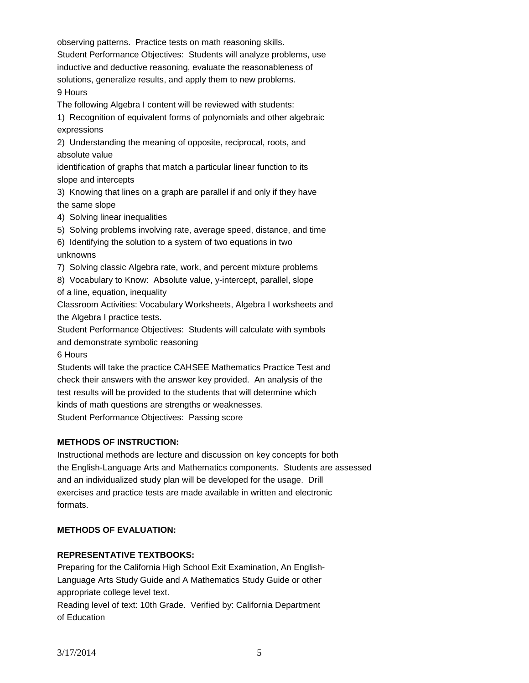observing patterns. Practice tests on math reasoning skills. Student Performance Objectives: Students will analyze problems, use inductive and deductive reasoning, evaluate the reasonableness of solutions, generalize results, and apply them to new problems. 9 Hours

The following Algebra I content will be reviewed with students:

1) Recognition of equivalent forms of polynomials and other algebraic expressions

2) Understanding the meaning of opposite, reciprocal, roots, and absolute value

identification of graphs that match a particular linear function to its slope and intercepts

3) Knowing that lines on a graph are parallel if and only if they have the same slope

4) Solving linear inequalities

5) Solving problems involving rate, average speed, distance, and time

6) Identifying the solution to a system of two equations in two

### unknowns

7) Solving classic Algebra rate, work, and percent mixture problems

8) Vocabulary to Know: Absolute value, y-intercept, parallel, slope

of a line, equation, inequality

Classroom Activities: Vocabulary Worksheets, Algebra I worksheets and the Algebra I practice tests.

Student Performance Objectives: Students will calculate with symbols and demonstrate symbolic reasoning

6 Hours

Students will take the practice CAHSEE Mathematics Practice Test and check their answers with the answer key provided. An analysis of the test results will be provided to the students that will determine which kinds of math questions are strengths or weaknesses. Student Performance Objectives: Passing score

## **METHODS OF INSTRUCTION:**

Instructional methods are lecture and discussion on key concepts for both the English-Language Arts and Mathematics components. Students are assessed and an individualized study plan will be developed for the usage. Drill exercises and practice tests are made available in written and electronic formats.

## **METHODS OF EVALUATION:**

# **REPRESENTATIVE TEXTBOOKS:**

Preparing for the California High School Exit Examination, An English-Language Arts Study Guide and A Mathematics Study Guide or other appropriate college level text.

Reading level of text: 10th Grade. Verified by: California Department of Education